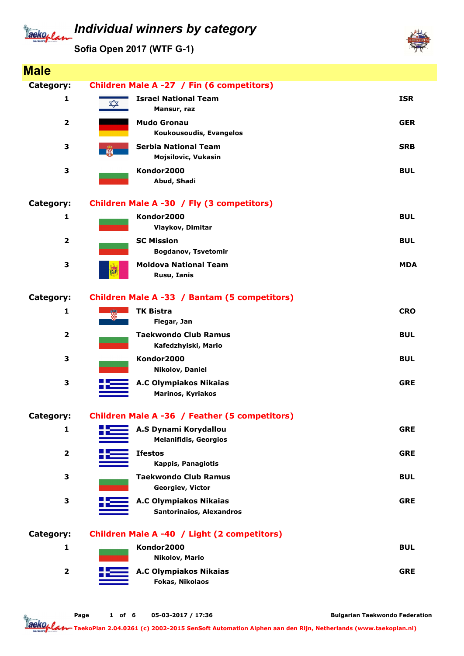#### Individual winners by category aeko, l

Sofia Open 2017 (WTF G-1)



Bulgarian Taekwondo Federation

TaekoPlan 2.04.0261 (c) 2002-2015 SenSoft Automation Alphen aan den Rijn, Netherlands (www.taekoplan.nl)

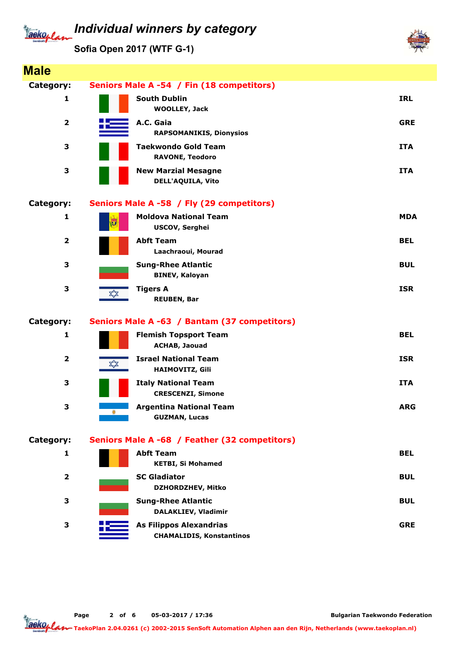# aeko, *l*

### Individual winners by category

Sofia Open 2017 (WTF G-1)



Page 2 of 6 05-03-2017 / 17:36

Bulgarian Taekwondo Federation

Jackoplan TaekoPlan 2.04.0261 (c) 2002-2015 SenSoft Automation Alphen aan den Rijn, Netherlands (www.taekoplan.nl)

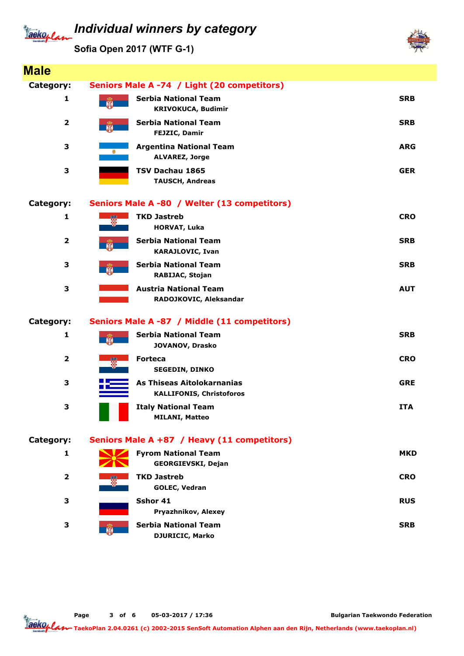## aeko. e

Sofia Open 2017 (WTF G-1)



Bulgarian Taekwondo Federation

aekoplan TaekoPlan 2.04.0261 (c) 2002-2015 SenSoft Automation Alphen aan den Rijn, Netherlands (www.taekoplan.nl)

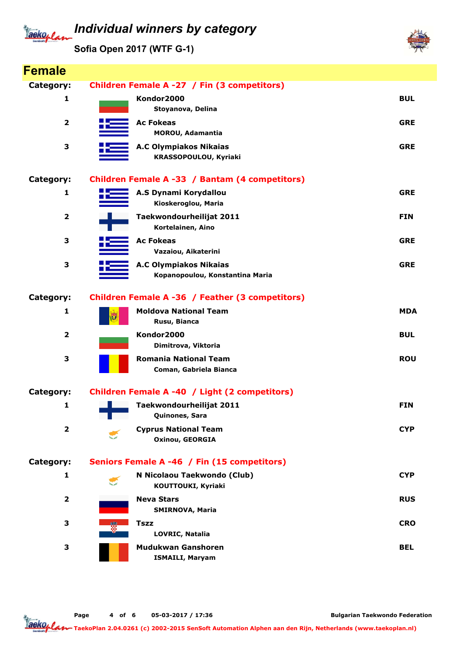### Individual winners by category Tackoplan

Sofia Open 2017 (WTF G-1)



| <b>Female</b>           |                                                                  |            |
|-------------------------|------------------------------------------------------------------|------------|
| Category:               | Children Female A -27 / Fin (3 competitors)                      |            |
| 1                       | Kondor2000<br>Stoyanova, Delina                                  | <b>BUL</b> |
| $\overline{2}$          | <b>Ac Fokeas</b><br><b>MOROU, Adamantia</b>                      | <b>GRE</b> |
| 3                       | <b>A.C Olympiakos Nikaias</b><br>KRASSOPOULOU, Kyriaki           | <b>GRE</b> |
| Category:               | Children Female A -33 / Bantam (4 competitors)                   |            |
| 1                       | A.S Dynami Korydallou<br>Kioskeroglou, Maria                     | <b>GRE</b> |
| $\overline{\mathbf{2}}$ | Taekwondourheilijat 2011<br>Kortelainen, Aino                    | <b>FIN</b> |
| 3                       | <b>Ac Fokeas</b><br>Vazaiou, Aikaterini                          | <b>GRE</b> |
| 3                       | <b>A.C Olympiakos Nikaias</b><br>Kopanopoulou, Konstantina Maria | <b>GRE</b> |
| Category:               | Children Female A -36 / Feather (3 competitors)                  |            |
| 1                       | <b>Moldova National Team</b><br>IJ<br>Rusu, Bianca               | <b>MDA</b> |
| $\overline{\mathbf{2}}$ | Kondor2000<br>Dimitrova, Viktoria                                | <b>BUL</b> |
| 3                       | <b>Romania National Team</b><br>Coman, Gabriela Bianca           | <b>ROU</b> |
| Category:               | Children Female A -40 / Light (2 competitors)                    |            |
| 1                       | Taekwondourheilijat 2011<br>Quinones, Sara                       | <b>FIN</b> |
| $\overline{\mathbf{2}}$ | <b>Cyprus National Team</b><br><b>Oxinou, GEORGIA</b>            | <b>CYP</b> |
| Category:               | Seniors Female A -46 / Fin (15 competitors)                      |            |
| 1                       | N Nicolaou Taekwondo (Club)<br>KOUTTOUKI, Kyriaki                | <b>CYP</b> |
| $\overline{\mathbf{2}}$ | <b>Neva Stars</b><br><b>SMIRNOVA, Maria</b>                      | <b>RUS</b> |
| 3                       | <b>Tszz</b><br>LOVRIC, Natalia                                   | <b>CRO</b> |
| 3                       | Mudukwan Ganshoren<br><b>ISMAILI, Maryam</b>                     | <b>BEL</b> |

Page 4 of 6 05-03-2017 / 17:36

Bulgarian Taekwondo Federation

Taekoplan TaekoPlan 2.04.0261 (c) 2002-2015 SenSoft Automation Alphen aan den Rijn, Netherlands (www.taekoplan.nl)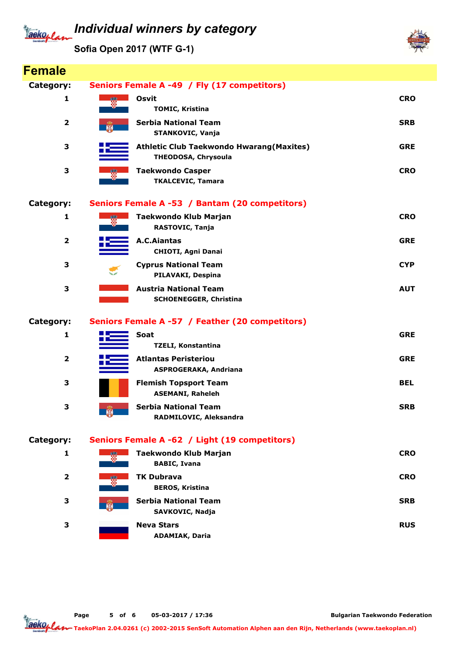### Individual winners by category Tackoplan

Sofia Open 2017 (WTF G-1)



| <b>Female</b>           |                                                                                |            |
|-------------------------|--------------------------------------------------------------------------------|------------|
| Category:               | Seniors Female A -49 / Fly (17 competitors)                                    |            |
| 1                       | Osvit<br>Ŵ<br><b>TOMIC, Kristina</b>                                           | <b>CRO</b> |
| $\mathbf{2}$            | <b>Serbia National Team</b><br>STANKOVIC, Vanja                                | <b>SRB</b> |
| 3                       | <b>Athletic Club Taekwondo Hwarang (Maxites)</b><br><b>THEODOSA, Chrysoula</b> | <b>GRE</b> |
| 3                       | <b>Taekwondo Casper</b><br><b>TKALCEVIC, Tamara</b>                            | <b>CRO</b> |
| Category:               | Seniors Female A -53 / Bantam (20 competitors)                                 |            |
| 1                       | Taekwondo Klub Marjan<br>RASTOVIC, Tanja                                       | <b>CRO</b> |
| $\overline{\mathbf{2}}$ | A.C.Aiantas<br><b>CHIOTI, Agni Danai</b>                                       | <b>GRE</b> |
| 3                       | <b>Cyprus National Team</b><br>PILAVAKI, Despina                               | <b>CYP</b> |
| 3                       | <b>Austria National Team</b><br><b>SCHOENEGGER, Christina</b>                  | <b>AUT</b> |
| Category:               | Seniors Female A -57 / Feather (20 competitors)                                |            |
| 1                       | Soat<br><b>TZELI, Konstantina</b>                                              | <b>GRE</b> |
| $\overline{\mathbf{2}}$ | <b>Atlantas Peristeriou</b><br><b>ASPROGERAKA, Andriana</b>                    | <b>GRE</b> |
| 3                       | <b>Flemish Topsport Team</b><br><b>ASEMANI, Raheleh</b>                        | <b>BEL</b> |
| 3                       | <b>Serbia National Team</b><br>願<br>RADMILOVIC, Aleksandra                     | <b>SRB</b> |
| Category:               | Seniors Female A -62 / Light (19 competitors)                                  |            |
| 1                       | <b>Taekwondo Klub Marjan</b><br>鑁<br><b>BABIC, Ivana</b>                       | <b>CRO</b> |
| $\overline{\mathbf{2}}$ | <b>TK Dubrava</b><br>W<br><b>BEROS, Kristina</b>                               | <b>CRO</b> |
| 3                       | <b>Serbia National Team</b><br>SAVKOVIC, Nadja                                 | <b>SRB</b> |
| 3                       | <b>Neva Stars</b><br><b>ADAMIAK, Daria</b>                                     | <b>RUS</b> |

Page 5 of 6 05-03-2017 / 17:36

Bulgarian Taekwondo Federation